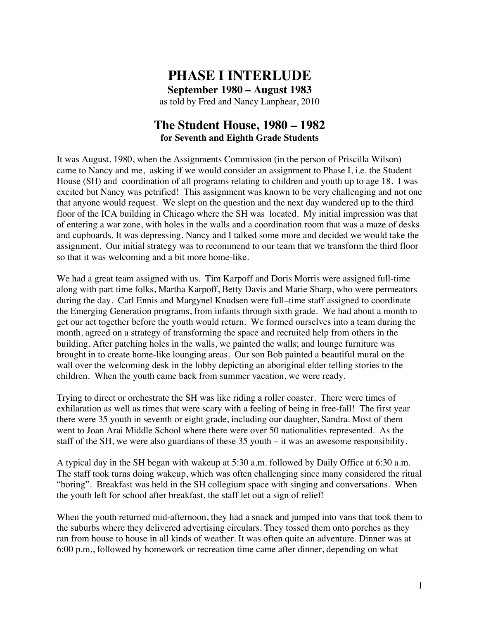# **PHASE I INTERLUDE**

**September 1980 – August 1983** as told by Fred and Nancy Lanphear, 2010

### **The Student House, 1980 – 1982 for Seventh and Eighth Grade Students**

It was August, 1980, when the Assignments Commission (in the person of Priscilla Wilson) came to Nancy and me, asking if we would consider an assignment to Phase I, i.e. the Student House (SH) and coordination of all programs relating to children and youth up to age 18. I was excited but Nancy was petrified! This assignment was known to be very challenging and not one that anyone would request. We slept on the question and the next day wandered up to the third floor of the ICA building in Chicago where the SH was located. My initial impression was that of entering a war zone, with holes in the walls and a coordination room that was a maze of desks and cupboards. It was depressing. Nancy and I talked some more and decided we would take the assignment. Our initial strategy was to recommend to our team that we transform the third floor so that it was welcoming and a bit more home-like.

We had a great team assigned with us. Tim Karpoff and Doris Morris were assigned full-time along with part time folks, Martha Karpoff, Betty Davis and Marie Sharp, who were permeators during the day. Carl Ennis and Margynel Knudsen were full–time staff assigned to coordinate the Emerging Generation programs, from infants through sixth grade. We had about a month to get our act together before the youth would return. We formed ourselves into a team during the month, agreed on a strategy of transforming the space and recruited help from others in the building. After patching holes in the walls, we painted the walls; and lounge furniture was brought in to create home-like lounging areas. Our son Bob painted a beautiful mural on the wall over the welcoming desk in the lobby depicting an aboriginal elder telling stories to the children. When the youth came back from summer vacation, we were ready.

Trying to direct or orchestrate the SH was like riding a roller coaster. There were times of exhilaration as well as times that were scary with a feeling of being in free-fall! The first year there were 35 youth in seventh or eight grade, including our daughter, Sandra. Most of them went to Joan Arai Middle School where there were over 50 nationalities represented. As the staff of the SH, we were also guardians of these 35 youth – it was an awesome responsibility.

A typical day in the SH began with wakeup at 5:30 a.m. followed by Daily Office at 6:30 a.m. The staff took turns doing wakeup, which was often challenging since many considered the ritual "boring". Breakfast was held in the SH collegium space with singing and conversations. When the youth left for school after breakfast, the staff let out a sign of relief!

When the youth returned mid-afternoon, they had a snack and jumped into vans that took them to the suburbs where they delivered advertising circulars. They tossed them onto porches as they ran from house to house in all kinds of weather. It was often quite an adventure. Dinner was at 6:00 p.m., followed by homework or recreation time came after dinner, depending on what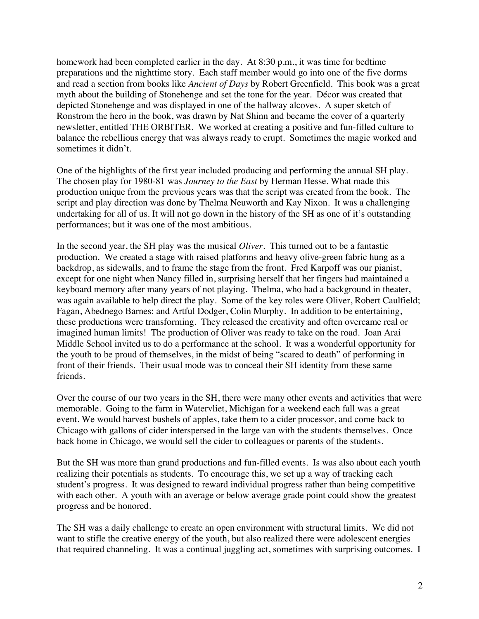homework had been completed earlier in the day. At 8:30 p.m., it was time for bedtime preparations and the nighttime story. Each staff member would go into one of the five dorms and read a section from books like *Ancient of Days* by Robert Greenfield. This book was a great myth about the building of Stonehenge and set the tone for the year. Décor was created that depicted Stonehenge and was displayed in one of the hallway alcoves. A super sketch of Ronstrom the hero in the book, was drawn by Nat Shinn and became the cover of a quarterly newsletter, entitled THE ORBITER. We worked at creating a positive and fun-filled culture to balance the rebellious energy that was always ready to erupt. Sometimes the magic worked and sometimes it didn't.

One of the highlights of the first year included producing and performing the annual SH play. The chosen play for 1980-81 was *Journey to the East* by Herman Hesse. What made this production unique from the previous years was that the script was created from the book. The script and play direction was done by Thelma Neuworth and Kay Nixon. It was a challenging undertaking for all of us. It will not go down in the history of the SH as one of it's outstanding performances; but it was one of the most ambitious.

In the second year, the SH play was the musical *Oliver*. This turned out to be a fantastic production. We created a stage with raised platforms and heavy olive-green fabric hung as a backdrop, as sidewalls, and to frame the stage from the front. Fred Karpoff was our pianist, except for one night when Nancy filled in, surprising herself that her fingers had maintained a keyboard memory after many years of not playing. Thelma, who had a background in theater, was again available to help direct the play. Some of the key roles were Oliver, Robert Caulfield; Fagan, Abednego Barnes; and Artful Dodger, Colin Murphy. In addition to be entertaining, these productions were transforming. They released the creativity and often overcame real or imagined human limits! The production of Oliver was ready to take on the road. Joan Arai Middle School invited us to do a performance at the school. It was a wonderful opportunity for the youth to be proud of themselves, in the midst of being "scared to death" of performing in front of their friends. Their usual mode was to conceal their SH identity from these same friends.

Over the course of our two years in the SH, there were many other events and activities that were memorable. Going to the farm in Watervliet, Michigan for a weekend each fall was a great event. We would harvest bushels of apples, take them to a cider processor, and come back to Chicago with gallons of cider interspersed in the large van with the students themselves. Once back home in Chicago, we would sell the cider to colleagues or parents of the students.

But the SH was more than grand productions and fun-filled events. Is was also about each youth realizing their potentials as students. To encourage this, we set up a way of tracking each student's progress. It was designed to reward individual progress rather than being competitive with each other. A youth with an average or below average grade point could show the greatest progress and be honored.

The SH was a daily challenge to create an open environment with structural limits. We did not want to stifle the creative energy of the youth, but also realized there were adolescent energies that required channeling. It was a continual juggling act, sometimes with surprising outcomes. I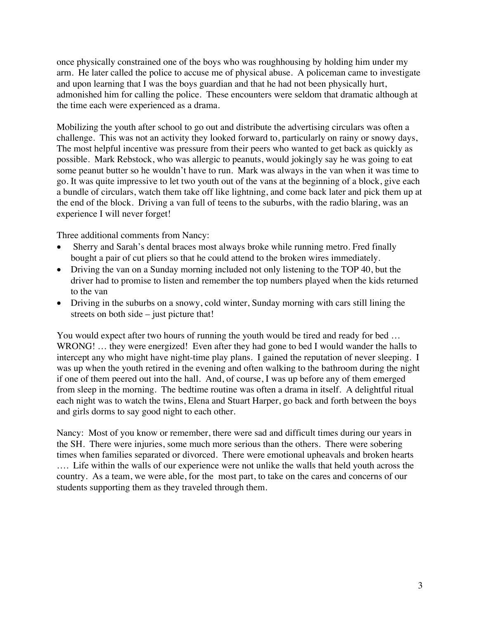once physically constrained one of the boys who was roughhousing by holding him under my arm. He later called the police to accuse me of physical abuse. A policeman came to investigate and upon learning that I was the boys guardian and that he had not been physically hurt, admonished him for calling the police. These encounters were seldom that dramatic although at the time each were experienced as a drama.

Mobilizing the youth after school to go out and distribute the advertising circulars was often a challenge. This was not an activity they looked forward to, particularly on rainy or snowy days, The most helpful incentive was pressure from their peers who wanted to get back as quickly as possible. Mark Rebstock, who was allergic to peanuts, would jokingly say he was going to eat some peanut butter so he wouldn't have to run. Mark was always in the van when it was time to go. It was quite impressive to let two youth out of the vans at the beginning of a block, give each a bundle of circulars, watch them take off like lightning, and come back later and pick them up at the end of the block. Driving a van full of teens to the suburbs, with the radio blaring, was an experience I will never forget!

Three additional comments from Nancy:

- Sherry and Sarah's dental braces most always broke while running metro. Fred finally bought a pair of cut pliers so that he could attend to the broken wires immediately.
- Driving the van on a Sunday morning included not only listening to the TOP 40, but the driver had to promise to listen and remember the top numbers played when the kids returned to the van
- Driving in the suburbs on a snowy, cold winter, Sunday morning with cars still lining the streets on both side – just picture that!

You would expect after two hours of running the youth would be tired and ready for bed … WRONG! ... they were energized! Even after they had gone to bed I would wander the halls to intercept any who might have night-time play plans. I gained the reputation of never sleeping. I was up when the youth retired in the evening and often walking to the bathroom during the night if one of them peered out into the hall. And, of course, I was up before any of them emerged from sleep in the morning. The bedtime routine was often a drama in itself. A delightful ritual each night was to watch the twins, Elena and Stuart Harper, go back and forth between the boys and girls dorms to say good night to each other.

Nancy: Most of you know or remember, there were sad and difficult times during our years in the SH. There were injuries, some much more serious than the others. There were sobering times when families separated or divorced. There were emotional upheavals and broken hearts …. Life within the walls of our experience were not unlike the walls that held youth across the country. As a team, we were able, for the most part, to take on the cares and concerns of our students supporting them as they traveled through them.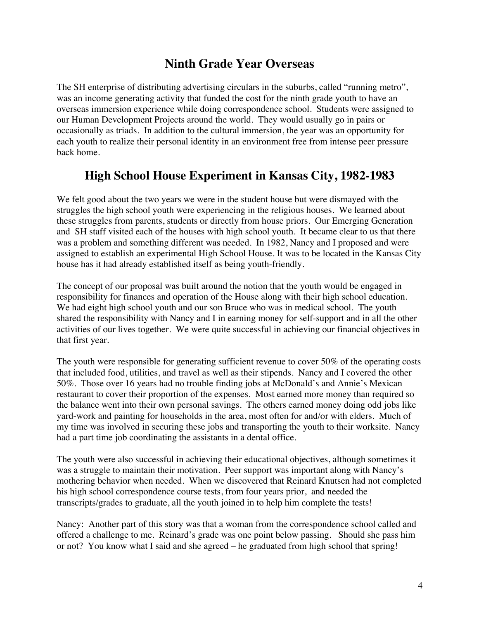### **Ninth Grade Year Overseas**

The SH enterprise of distributing advertising circulars in the suburbs, called "running metro", was an income generating activity that funded the cost for the ninth grade youth to have an overseas immersion experience while doing correspondence school. Students were assigned to our Human Development Projects around the world. They would usually go in pairs or occasionally as triads. In addition to the cultural immersion, the year was an opportunity for each youth to realize their personal identity in an environment free from intense peer pressure back home.

## **High School House Experiment in Kansas City, 1982-1983**

We felt good about the two years we were in the student house but were dismayed with the struggles the high school youth were experiencing in the religious houses. We learned about these struggles from parents, students or directly from house priors. Our Emerging Generation and SH staff visited each of the houses with high school youth. It became clear to us that there was a problem and something different was needed. In 1982, Nancy and I proposed and were assigned to establish an experimental High School House. It was to be located in the Kansas City house has it had already established itself as being youth-friendly.

The concept of our proposal was built around the notion that the youth would be engaged in responsibility for finances and operation of the House along with their high school education. We had eight high school youth and our son Bruce who was in medical school. The youth shared the responsibility with Nancy and I in earning money for self-support and in all the other activities of our lives together. We were quite successful in achieving our financial objectives in that first year.

The youth were responsible for generating sufficient revenue to cover 50% of the operating costs that included food, utilities, and travel as well as their stipends. Nancy and I covered the other 50%. Those over 16 years had no trouble finding jobs at McDonald's and Annie's Mexican restaurant to cover their proportion of the expenses. Most earned more money than required so the balance went into their own personal savings. The others earned money doing odd jobs like yard-work and painting for households in the area, most often for and/or with elders. Much of my time was involved in securing these jobs and transporting the youth to their worksite. Nancy had a part time job coordinating the assistants in a dental office.

The youth were also successful in achieving their educational objectives, although sometimes it was a struggle to maintain their motivation. Peer support was important along with Nancy's mothering behavior when needed. When we discovered that Reinard Knutsen had not completed his high school correspondence course tests, from four years prior, and needed the transcripts/grades to graduate, all the youth joined in to help him complete the tests!

Nancy: Another part of this story was that a woman from the correspondence school called and offered a challenge to me. Reinard's grade was one point below passing. Should she pass him or not? You know what I said and she agreed – he graduated from high school that spring!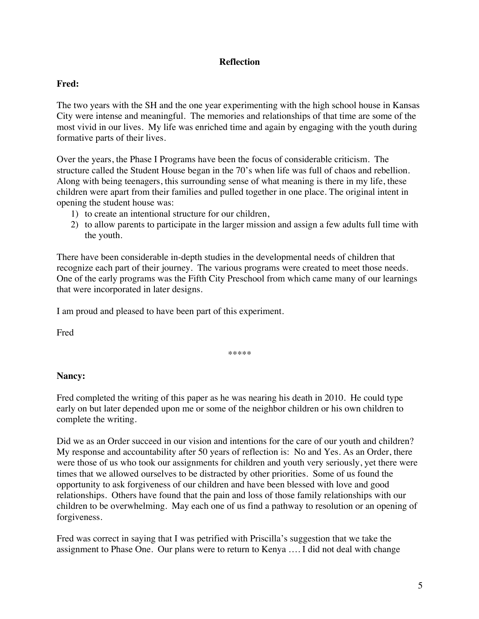### **Reflection**

### **Fred:**

The two years with the SH and the one year experimenting with the high school house in Kansas City were intense and meaningful. The memories and relationships of that time are some of the most vivid in our lives. My life was enriched time and again by engaging with the youth during formative parts of their lives.

Over the years, the Phase I Programs have been the focus of considerable criticism. The structure called the Student House began in the 70's when life was full of chaos and rebellion. Along with being teenagers, this surrounding sense of what meaning is there in my life, these children were apart from their families and pulled together in one place. The original intent in opening the student house was:

- 1) to create an intentional structure for our children,
- 2) to allow parents to participate in the larger mission and assign a few adults full time with the youth.

There have been considerable in-depth studies in the developmental needs of children that recognize each part of their journey. The various programs were created to meet those needs. One of the early programs was the Fifth City Preschool from which came many of our learnings that were incorporated in later designs.

I am proud and pleased to have been part of this experiment.

Fred

\*\*\*\*\*

#### **Nancy:**

Fred completed the writing of this paper as he was nearing his death in 2010. He could type early on but later depended upon me or some of the neighbor children or his own children to complete the writing.

Did we as an Order succeed in our vision and intentions for the care of our youth and children? My response and accountability after 50 years of reflection is: No and Yes. As an Order, there were those of us who took our assignments for children and youth very seriously, yet there were times that we allowed ourselves to be distracted by other priorities. Some of us found the opportunity to ask forgiveness of our children and have been blessed with love and good relationships. Others have found that the pain and loss of those family relationships with our children to be overwhelming. May each one of us find a pathway to resolution or an opening of forgiveness.

Fred was correct in saying that I was petrified with Priscilla's suggestion that we take the assignment to Phase One. Our plans were to return to Kenya …. I did not deal with change